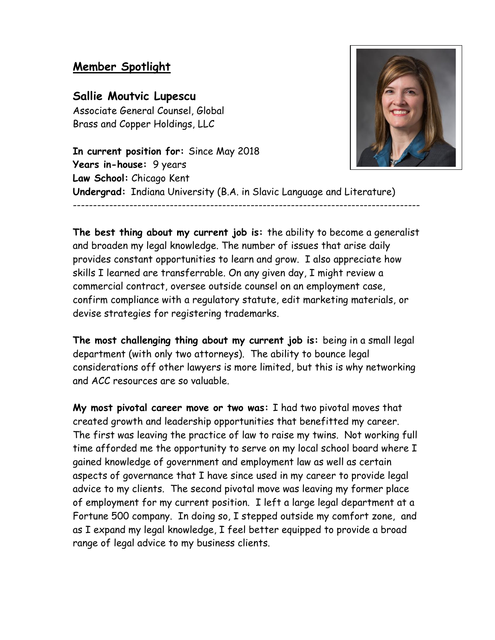## **Member Spotlight**

## **Sallie Moutvic Lupescu**

Associate General Counsel, Global Brass and Copper Holdings, LLC

**In current position for:** Since May 2018 **Years in-house:** 9 years **Law School:** Chicago Kent **Undergrad:** Indiana University (B.A. in Slavic Language and Literature) --------------------------------------------------------------------------------------

**The best thing about my current job is:** the ability to become a generalist and broaden my legal knowledge. The number of issues that arise daily provides constant opportunities to learn and grow. I also appreciate how skills I learned are transferrable. On any given day, I might review a commercial contract, oversee outside counsel on an employment case, confirm compliance with a regulatory statute, edit marketing materials, or devise strategies for registering trademarks.

**The most challenging thing about my current job is:** being in a small legal department (with only two attorneys). The ability to bounce legal considerations off other lawyers is more limited, but this is why networking and ACC resources are so valuable.

**My most pivotal career move or two was:** I had two pivotal moves that created growth and leadership opportunities that benefitted my career. The first was leaving the practice of law to raise my twins. Not working full time afforded me the opportunity to serve on my local school board where I gained knowledge of government and employment law as well as certain aspects of governance that I have since used in my career to provide legal advice to my clients. The second pivotal move was leaving my former place of employment for my current position. I left a large legal department at a Fortune 500 company. In doing so, I stepped outside my comfort zone, and as I expand my legal knowledge, I feel better equipped to provide a broad range of legal advice to my business clients.

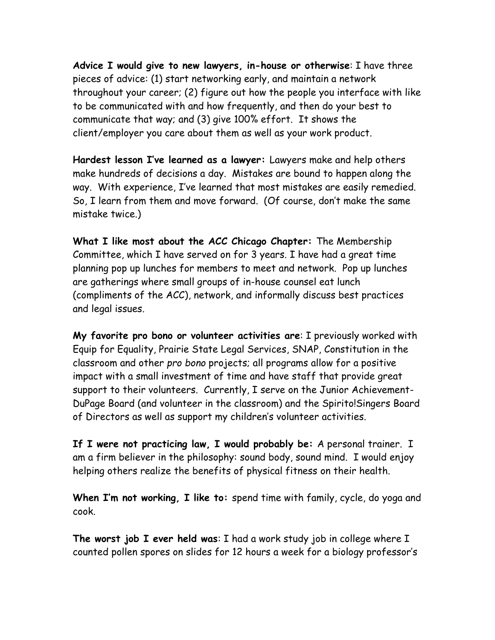**Advice I would give to new lawyers, in-house or otherwise**: I have three pieces of advice: (1) start networking early, and maintain a network throughout your career; (2) figure out how the people you interface with like to be communicated with and how frequently, and then do your best to communicate that way; and (3) give 100% effort. It shows the client/employer you care about them as well as your work product.

**Hardest lesson I've learned as a lawyer:** Lawyers make and help others make hundreds of decisions a day. Mistakes are bound to happen along the way. With experience, I've learned that most mistakes are easily remedied. So, I learn from them and move forward. (Of course, don't make the same mistake twice.)

**What I like most about the ACC Chicago Chapter:** The Membership Committee, which I have served on for 3 years. I have had a great time planning pop up lunches for members to meet and network. Pop up lunches are gatherings where small groups of in-house counsel eat lunch (compliments of the ACC), network, and informally discuss best practices and legal issues.

**My favorite pro bono or volunteer activities are**: I previously worked with Equip for Equality, Prairie State Legal Services, SNAP, Constitution in the classroom and other *pro bono* projects; all programs allow for a positive impact with a small investment of time and have staff that provide great support to their volunteers. Currently, I serve on the Junior Achievement-DuPage Board (and volunteer in the classroom) and the Spirito!Singers Board of Directors as well as support my children's volunteer activities.

**If I were not practicing law, I would probably be:** A personal trainer. I am a firm believer in the philosophy: sound body, sound mind. I would enjoy helping others realize the benefits of physical fitness on their health.

**When I'm not working, I like to:** spend time with family, cycle, do yoga and cook.

**The worst job I ever held was**: I had a work study job in college where I counted pollen spores on slides for 12 hours a week for a biology professor's